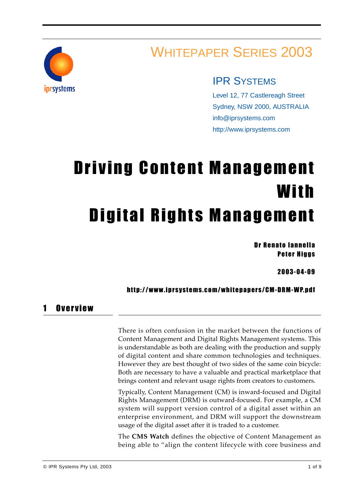

## WHITEPAPER SERIES 2003

### IPR SYSTEMS

Level 12, 77 Castlereagh Street Sydney, NSW 2000, AUSTRALIA info@iprsystems.com http://www.iprsystems.com

# Driving Content Management With Digital Rights Management

Dr Renato Iannella **Peter Higgs** 

2003-04-09

#### http://www.iprsystems.com/whitepapers/CM-DRM-WP.pdf

#### 1 Overview

There is often confusion in the market between the functions of Content Management and Digital Rights Management systems. This is understandable as both are dealing with the production and supply of digital content and share common technologies and techniques. However they are best thought of two sides of the same coin bicycle: Both are necessary to have a valuable and practical marketplace that brings content and relevant usage rights from creators to customers.

Typically, Content Management (CM) is inward-focused and Digital Rights Management (DRM) is outward-focused. For example, a CM system will support version control of a digital asset within an enterprise environment, and DRM will support the downstream usage of the digital asset after it is traded to a customer.

The **CMS Watch** defines the objective of Content Management as being able to "align the content lifecycle with core business and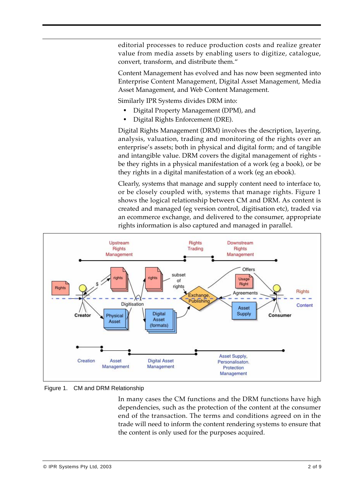editorial processes to reduce production costs and realize greater value from media assets by enabling users to digitize, catalogue, convert, transform, and distribute them."

Content Management has evolved and has now been segmented into Enterprise Content Management, Digital Asset Management, Media Asset Management, and Web Content Management.

Similarly IPR Systems divides DRM into:

- **•** Digital Property Management (DPM), and
- **•** Digital Rights Enforcement (DRE).

Digital Rights Management (DRM) involves the description, layering, analysis, valuation, trading and monitoring of the rights over an enterprise's assets; both in physical and digital form; and of tangible and intangible value. DRM covers the digital management of rights be they rights in a physical manifestation of a work (eg a book), or be they rights in a digital manifestation of a work (eg an ebook).

Clearly, systems that manage and supply content need to interface to, or be closely coupled with, systems that manage rights. Figure 1 shows the logical relationship between CM and DRM. As content is created and managed (eg version control, digitisation etc), traded via an ecommerce exchange, and delivered to the consumer, appropriate rights information is also captured and managed in parallel.



Figure 1. CM and DRM Relationship

In many cases the CM functions and the DRM functions have high dependencies, such as the protection of the content at the consumer end of the transaction. The terms and conditions agreed on in the trade will need to inform the content rendering systems to ensure that the content is only used for the purposes acquired.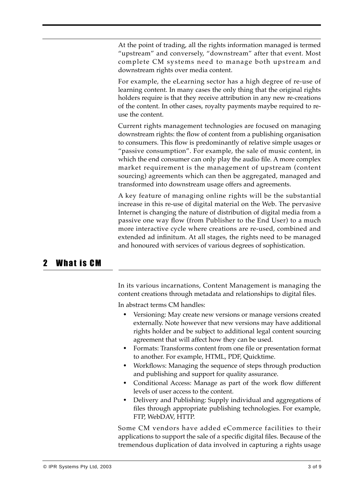At the point of trading, all the rights information managed is termed "upstream" and conversely, "downstream" after that event. Most complete CM systems need to manage both upstream and downstream rights over media content.

For example, the eLearning sector has a high degree of re-use of learning content. In many cases the only thing that the original rights holders require is that they receive attribution in any new re-creations of the content. In other cases, royalty payments maybe required to reuse the content.

Current rights management technologies are focused on managing downstream rights: the flow of content from a publishing organisation to consumers. This flow is predominantly of relative simple usages or "passive consumption". For example, the sale of music content, in which the end consumer can only play the audio file. A more complex market requirement is the management of upstream (content sourcing) agreements which can then be aggregated, managed and transformed into downstream usage offers and agreements.

A key feature of managing online rights will be the substantial increase in this re-use of digital material on the Web. The pervasive Internet is changing the nature of distribution of digital media from a passive one way flow (from Publisher to the End User) to a much more interactive cycle where creations are re-used, combined and extended ad infinitum. At all stages, the rights need to be managed and honoured with services of various degrees of sophistication.

#### 2 What is CM

In its various incarnations, Content Management is managing the content creations through metadata and relationships to digital files.

In abstract terms CM handles:

- **•** Versioning: May create new versions or manage versions created externally. Note however that new versions may have additional rights holder and be subject to additional legal content sourcing agreement that will affect how they can be used.
- **•** Formats: Transforms content from one file or presentation format to another. For example, HTML, PDF, Quicktime.
- **•** Workflows: Managing the sequence of steps through production and publishing and support for quality assurance.
- **•** Conditional Access: Manage as part of the work flow different levels of user access to the content.
- **•** Delivery and Publishing: Supply individual and aggregations of files through appropriate publishing technologies. For example, FTP, WebDAV, HTTP.

Some CM vendors have added eCommerce facilities to their applications to support the sale of a specific digital files. Because of the tremendous duplication of data involved in capturing a rights usage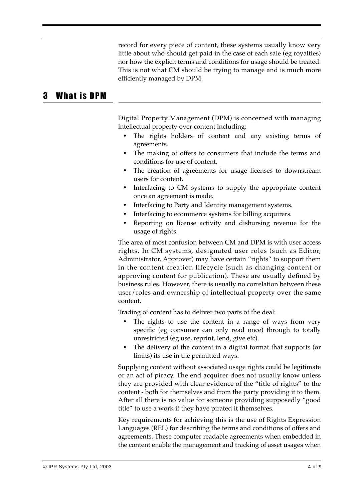record for every piece of content, these systems usually know very little about who should get paid in the case of each sale (eg royalties) nor how the explicit terms and conditions for usage should be treated. This is not what CM should be trying to manage and is much more efficiently managed by DPM.

#### 3 What is DPM

Digital Property Management (DPM) is concerned with managing intellectual property over content including:

- **•** The rights holders of content and any existing terms of agreements.
- **•** The making of offers to consumers that include the terms and conditions for use of content.
- **•** The creation of agreements for usage licenses to downstream users for content.
- **•** Interfacing to CM systems to supply the appropriate content once an agreement is made.
- **•** Interfacing to Party and Identity management systems.
- **•** Interfacing to ecommerce systems for billing acquirers.
- **•** Reporting on license activity and disbursing revenue for the usage of rights.

The area of most confusion between CM and DPM is with user access rights. In CM systems, designated user roles (such as Editor, Administrator, Approver) may have certain "rights" to support them in the content creation lifecycle (such as changing content or approving content for publication). These are usually defined by business rules. However, there is usually no correlation between these user/roles and ownership of intellectual property over the same content.

Trading of content has to deliver two parts of the deal:

- The rights to use the content in a range of ways from very specific (eg consumer can only read once) through to totally unrestricted (eg use, reprint, lend, give etc).
- **•** The delivery of the content in a digital format that supports (or limits) its use in the permitted ways.

Supplying content without associated usage rights could be legitimate or an act of piracy. The end acquirer does not usually know unless they are provided with clear evidence of the "title of rights" to the content - both for themselves and from the party providing it to them. After all there is no value for someone providing supposedly "good title" to use a work if they have pirated it themselves.

Key requirements for achieving this is the use of Rights Expression Languages (REL) for describing the terms and conditions of offers and agreements. These computer readable agreements when embedded in the content enable the management and tracking of asset usages when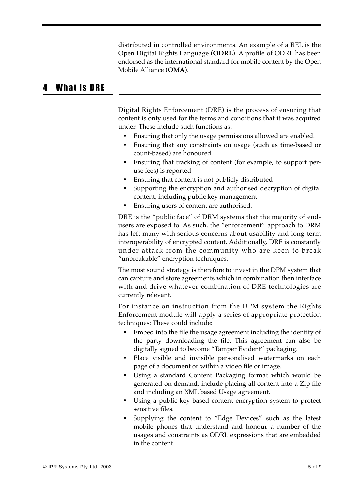distributed in controlled environments. An example of a REL is the Open Digital Rights Language (**ODRL**). A profile of ODRL has been endorsed as the international standard for mobile content by the Open Mobile Alliance (**OMA**).

#### 4 What is DRE

Digital Rights Enforcement (DRE) is the process of ensuring that content is only used for the terms and conditions that it was acquired under. These include such functions as:

- **•** Ensuring that only the usage permissions allowed are enabled.
- **•** Ensuring that any constraints on usage (such as time-based or count-based) are honoured.
- **•** Ensuring that tracking of content (for example, to support peruse fees) is reported
- **•** Ensuring that content is not publicly distributed
- **•** Supporting the encryption and authorised decryption of digital content, including public key management
- **•** Ensuring users of content are authorised.

DRE is the "public face" of DRM systems that the majority of endusers are exposed to. As such, the "enforcement" approach to DRM has left many with serious concerns about usability and long-term interoperability of encrypted content. Additionally, DRE is constantly under attack from the community who are keen to break "unbreakable" encryption techniques.

The most sound strategy is therefore to invest in the DPM system that can capture and store agreements which in combination then interface with and drive whatever combination of DRE technologies are currently relevant.

For instance on instruction from the DPM system the Rights Enforcement module will apply a series of appropriate protection techniques: These could include:

- **•** Embed into the file the usage agreement including the identity of the party downloading the file. This agreement can also be digitally signed to become "Tamper Evident" packaging.
- **•** Place visible and invisible personalised watermarks on each page of a document or within a video file or image.
- **•** Using a standard Content Packaging format which would be generated on demand, include placing all content into a Zip file and including an XML based Usage agreement.
- **•** Using a public key based content encryption system to protect sensitive files.
- **•** Supplying the content to "Edge Devices" such as the latest mobile phones that understand and honour a number of the usages and constraints as ODRL expressions that are embedded in the content.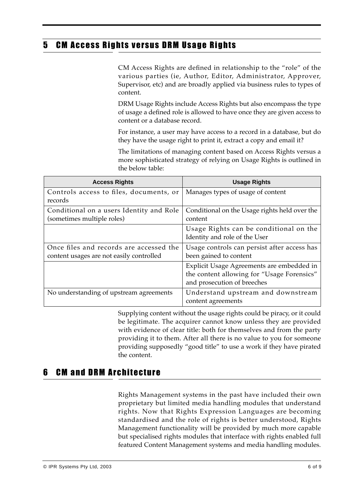#### 5 CM Access Rights versus DRM Usage Rights

CM Access Rights are defined in relationship to the "role" of the various parties (ie, Author, Editor, Administrator, Approver, Supervisor, etc) and are broadly applied via business rules to types of content.

DRM Usage Rights include Access Rights but also encompass the type of usage a defined role is allowed to have once they are given access to content or a database record.

For instance, a user may have access to a record in a database, but do they have the usage right to print it, extract a copy and email it?

The limitations of managing content based on Access Rights versus a more sophisticated strategy of relying on Usage Rights is outlined in the below table:

| <b>Access Rights</b>                                                                | <b>Usage Rights</b>                                                       |
|-------------------------------------------------------------------------------------|---------------------------------------------------------------------------|
| Controls access to files, documents, or<br>records                                  | Manages types of usage of content                                         |
| Conditional on a users Identity and Role                                            | Conditional on the Usage rights held over the                             |
| (sometimes multiple roles)                                                          | content                                                                   |
|                                                                                     | Usage Rights can be conditional on the<br>Identity and role of the User   |
| Once files and records are accessed the<br>content usages are not easily controlled | Usage controls can persist after access has<br>been gained to content     |
|                                                                                     | Explicit Usage Agreements are embedded in                                 |
|                                                                                     | the content allowing for "Usage Forensics"<br>and prosecution of breeches |
| No understanding of upstream agreements                                             | Understand upstream and downstream                                        |
|                                                                                     | content agreements                                                        |

Supplying content without the usage rights could be piracy, or it could be legitimate. The acquirer cannot know unless they are provided with evidence of clear title: both for themselves and from the party providing it to them. After all there is no value to you for someone providing supposedly "good title" to use a work if they have pirated the content.

#### 6 CM and DRM Architecture

Rights Management systems in the past have included their own proprietary but limited media handling modules that understand rights. Now that Rights Expression Languages are becoming standardised and the role of rights is better understood, Rights Management functionality will be provided by much more capable but specialised rights modules that interface with rights enabled full featured Content Management systems and media handling modules.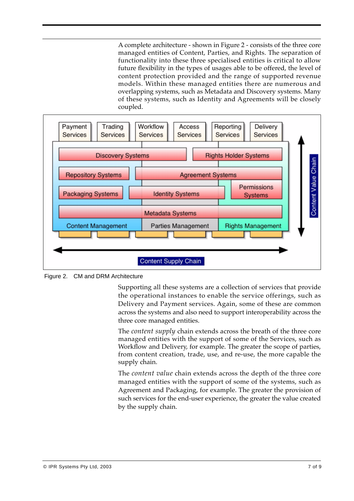A complete architecture - shown in Figure 2 - consists of the three core managed entities of Content, Parties, and Rights. The separation of functionality into these three specialised entities is critical to allow future flexibility in the types of usages able to be offered, the level of content protection provided and the range of supported revenue models. Within these managed entities there are numerous and overlapping systems, such as Metadata and Discovery systems. Many of these systems, such as Identity and Agreements will be closely coupled.



Figure 2. CM and DRM Architecture

Supporting all these systems are a collection of services that provide the operational instances to enable the service offerings, such as Delivery and Payment services. Again, some of these are common across the systems and also need to support interoperability across the three core managed entities.

The *content supply* chain extends across the breath of the three core managed entities with the support of some of the Services, such as Workflow and Delivery, for example. The greater the scope of parties, from content creation, trade, use, and re-use, the more capable the supply chain.

The *content value* chain extends across the depth of the three core managed entities with the support of some of the systems, such as Agreement and Packaging, for example. The greater the provision of such services for the end-user experience, the greater the value created by the supply chain.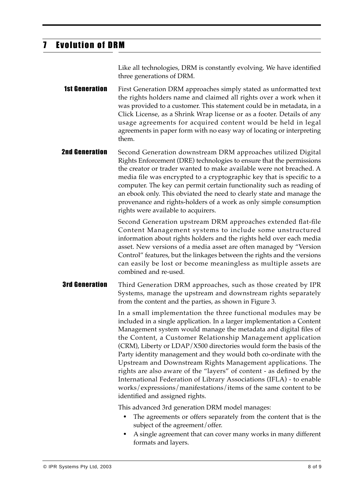#### 7 Evolution of DRM

Like all technologies, DRM is constantly evolving. We have identified three generations of DRM.

**1st Generation** First Generation DRM approaches simply stated as unformatted text the rights holders name and claimed all rights over a work when it was provided to a customer. This statement could be in metadata, in a Click License, as a Shrink Wrap license or as a footer. Details of any usage agreements for acquired content would be held in legal agreements in paper form with no easy way of locating or interpreting them.

**2nd Generation** Second Generation downstream DRM approaches utilized Digital Rights Enforcement (DRE) technologies to ensure that the permissions the creator or trader wanted to make available were not breached. A media file was encrypted to a cryptographic key that is specific to a computer. The key can permit certain functionality such as reading of an ebook only. This obviated the need to clearly state and manage the provenance and rights-holders of a work as only simple consumption rights were available to acquirers.

> Second Generation upstream DRM approaches extended flat-file Content Management systems to include some unstructured information about rights holders and the rights held over each media asset. New versions of a media asset are often managed by "Version Control" features, but the linkages between the rights and the versions can easily be lost or become meaningless as multiple assets are combined and re-used.

**3rd Generation** Third Generation DRM approaches, such as those created by IPR Systems, manage the upstream and downstream rights separately from the content and the parties, as shown in Figure 3.

> In a small implementation the three functional modules may be included in a single application. In a larger implementation a Content Management system would manage the metadata and digital files of the Content, a Customer Relationship Management application (CRM), Liberty or LDAP/X500 directories would form the basis of the Party identity management and they would both co-ordinate with the Upstream and Downstream Rights Management applications. The rights are also aware of the "layers" of content - as defined by the International Federation of Library Associations (IFLA) - to enable works/expressions/manifestations/items of the same content to be identified and assigned rights.

This advanced 3rd generation DRM model manages:

- **•** The agreements or offers separately from the content that is the subject of the agreement/offer.
- **•** A single agreement that can cover many works in many different formats and layers.